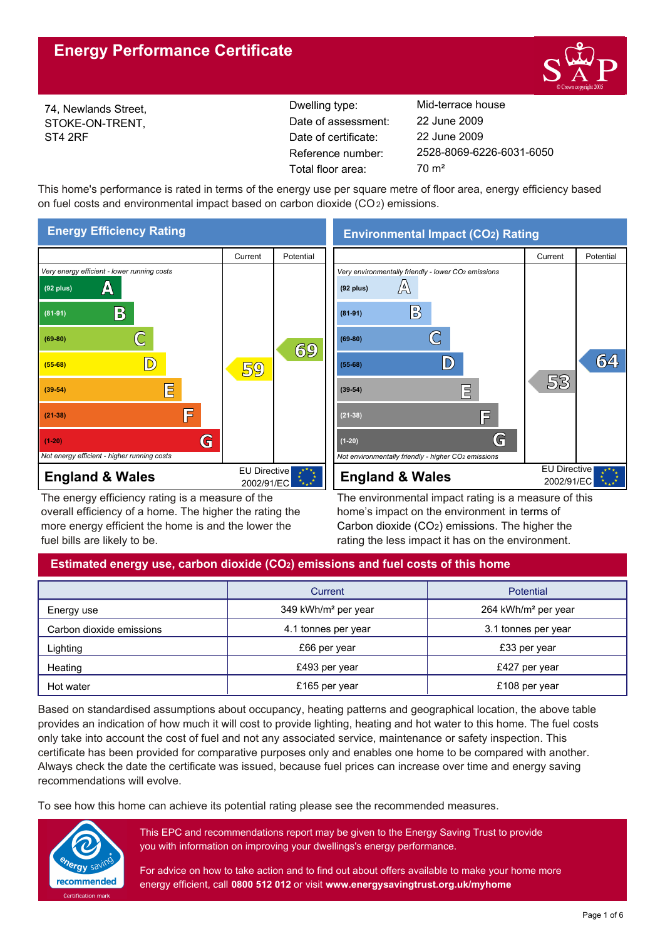# **Energy Performance Certificate**



74, Newlands Street, STOKE-ON-TRENT, ST4 2RF

Reference number: Date of certificate: Total floor area: 70 m<sup>2</sup> Date of assessment:

Dwelling type: Mid-terrace house 2528-8069-6226-6031-6050 22 June 2009 22 June 2009

This home's performance is rated in terms of the energy use per square metre of floor area, energy efficiency based on fuel costs and environmental impact based on carbon dioxide (CO2) emissions.



The energy efficiency rating is a measure of the overall efficiency of a home. The higher the rating the more energy efficient the home is and the lower the fuel bills are likely to be.

The environmental impact rating is a measure of this home's impact on the environment in terms of Carbon dioxide (CO2) emissions. The higher the rating the less impact it has on the environment.

# **Estimated energy use, carbon dioxide (CO2) emissions and fuel costs of this home**

|                          | Current                         | <b>Potential</b>                |  |
|--------------------------|---------------------------------|---------------------------------|--|
| Energy use               | 349 kWh/m <sup>2</sup> per year | 264 kWh/m <sup>2</sup> per year |  |
| Carbon dioxide emissions | 4.1 tonnes per year             | 3.1 tonnes per year             |  |
| Lighting                 | £66 per year                    | £33 per year                    |  |
| Heating                  | £493 per year                   | £427 per year                   |  |
| Hot water                | £165 per year                   | £108 per year                   |  |

Based on standardised assumptions about occupancy, heating patterns and geographical location, the above table provides an indication of how much it will cost to provide lighting, heating and hot water to this home. The fuel costs only take into account the cost of fuel and not any associated service, maintenance or safety inspection. This certificate has been provided for comparative purposes only and enables one home to be compared with another. Always check the date the certificate was issued, because fuel prices can increase over time and energy saving recommendations will evolve.

To see how this home can achieve its potential rating please see the recommended measures.



This EPC and recommendations report may be given to the Energy Saving Trust to provide you with information on improving your dwellings's energy performance.

For advice on how to take action and to find out about offers available to make your home more energy efficient, call **0800 512 012** or visit **www.energysavingtrust.org.uk/myhome**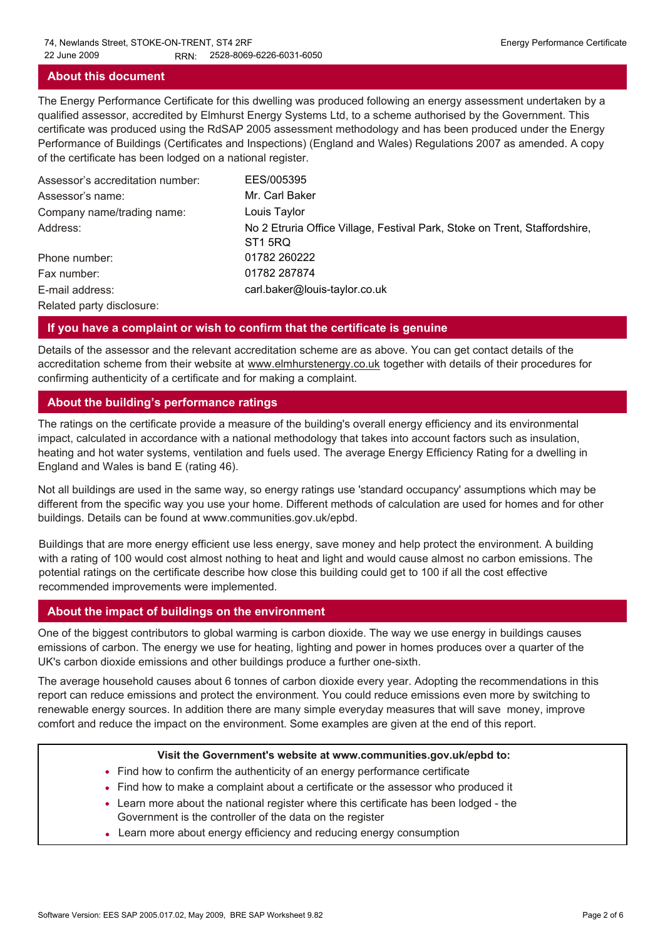# **About this document**

The Energy Performance Certificate for this dwelling was produced following an energy assessment undertaken by a qualified assessor, accredited by Elmhurst Energy Systems Ltd, to a scheme authorised by the Government. This certificate was produced using the RdSAP 2005 assessment methodology and has been produced under the Energy Performance of Buildings (Certificates and Inspections) (England and Wales) Regulations 2007 as amended. A copy of the certificate has been lodged on a national register.

| Assessor's accreditation number: | EES/005395                                                                                        |
|----------------------------------|---------------------------------------------------------------------------------------------------|
| Assessor's name:                 | Mr. Carl Baker                                                                                    |
| Company name/trading name:       | Louis Taylor                                                                                      |
| Address:                         | No 2 Etruria Office Village, Festival Park, Stoke on Trent, Staffordshire,<br>ST <sub>1</sub> 5RQ |
| Phone number:                    | 01782 260222                                                                                      |
| Fax number:                      | 01782 287874                                                                                      |
| E-mail address:                  | carl.baker@louis-taylor.co.uk                                                                     |
| Related party disclosure:        |                                                                                                   |

# **If you have a complaint or wish to confirm that the certificate is genuine**

Details of the assessor and the relevant accreditation scheme are as above. You can get contact details of the accreditation scheme from their website at www.elmhurstenergy.co.uk together with details of their procedures for confirming authenticity of a certificate and for making a complaint.

### **About the building's performance ratings**

The ratings on the certificate provide a measure of the building's overall energy efficiency and its environmental impact, calculated in accordance with a national methodology that takes into account factors such as insulation, heating and hot water systems, ventilation and fuels used. The average Energy Efficiency Rating for a dwelling in England and Wales is band E (rating 46).

Not all buildings are used in the same way, so energy ratings use 'standard occupancy' assumptions which may be different from the specific way you use your home. Different methods of calculation are used for homes and for other buildings. Details can be found at www.communities.gov.uk/epbd.

Buildings that are more energy efficient use less energy, save money and help protect the environment. A building with a rating of 100 would cost almost nothing to heat and light and would cause almost no carbon emissions. The potential ratings on the certificate describe how close this building could get to 100 if all the cost effective recommended improvements were implemented.

# **About the impact of buildings on the environment**

One of the biggest contributors to global warming is carbon dioxide. The way we use energy in buildings causes emissions of carbon. The energy we use for heating, lighting and power in homes produces over a quarter of the UK's carbon dioxide emissions and other buildings produce a further one-sixth.

The average household causes about 6 tonnes of carbon dioxide every year. Adopting the recommendations in this report can reduce emissions and protect the environment. You could reduce emissions even more by switching to renewable energy sources. In addition there are many simple everyday measures that will save money, improve comfort and reduce the impact on the environment. Some examples are given at the end of this report.

### **Visit the Government's website at www.communities.gov.uk/epbd to:**

- Find how to confirm the authenticity of an energy performance certificate
- Find how to make a complaint about a certificate or the assessor who produced it •
- Learn more about the national register where this certificate has been lodged the Government is the controller of the data on the register
- Learn more about energy efficiency and reducing energy consumption •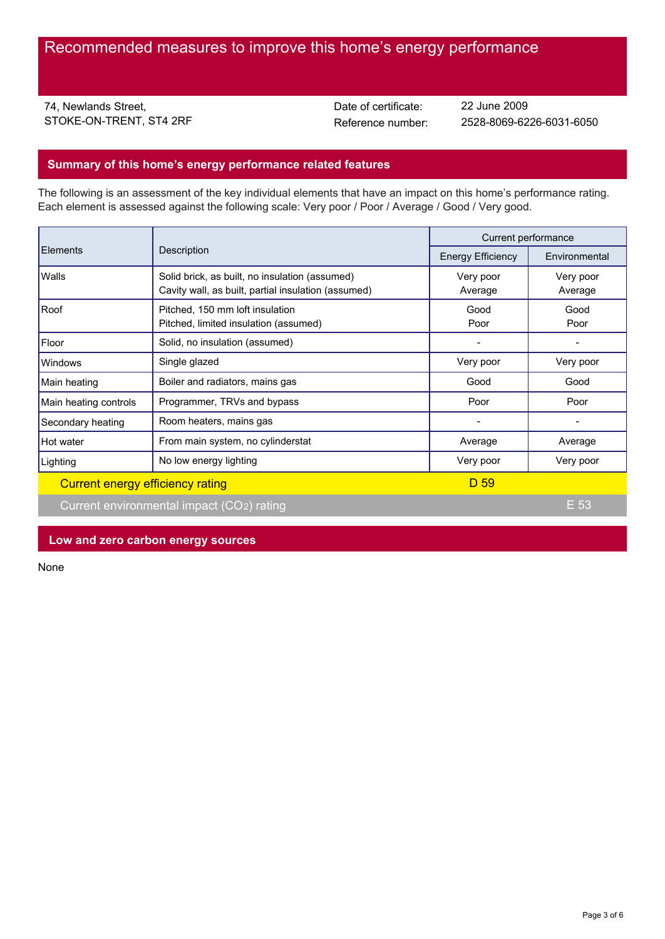74, Newlands Street, STOKE-ON-TRENT, ST4 2RF Date of certificate:

Reference number: 2528-8069-6226-6031-6050 22 June 2009

# **Summary of this home's energy performance related features**

The following is an assessment of the key individual elements that have an impact on this home's performance rating. Each element is assessed against the following scale: Very poor / Poor / Average / Good / Very good.

| Elements                         | Description                                                                                           | Current performance      |                      |
|----------------------------------|-------------------------------------------------------------------------------------------------------|--------------------------|----------------------|
|                                  |                                                                                                       | <b>Energy Efficiency</b> | Environmental        |
| Walls                            | Solid brick, as built, no insulation (assumed)<br>Cavity wall, as built, partial insulation (assumed) | Very poor<br>Average     | Very poor<br>Average |
| Roof                             | Pitched, 150 mm loft insulation<br>Pitched, limited insulation (assumed)                              | Good<br>Poor             | Good<br>Poor         |
| Floor                            | Solid, no insulation (assumed)                                                                        |                          |                      |
| <b>Windows</b>                   | Single glazed                                                                                         | Very poor                | Very poor            |
| Main heating                     | Boiler and radiators, mains gas                                                                       | Good                     | Good                 |
| Main heating controls            | Programmer, TRVs and bypass                                                                           | Poor                     | Poor                 |
| Secondary heating                | Room heaters, mains gas                                                                               |                          |                      |
| Hot water                        | From main system, no cylinderstat                                                                     | Average                  | Average              |
| Lighting                         | No low energy lighting                                                                                | Very poor                | Very poor            |
| Current energy efficiency rating |                                                                                                       | D 59                     |                      |
|                                  | Current environmental impact (CO2) rating                                                             |                          | E 53                 |

**Low and zero carbon energy sources**

None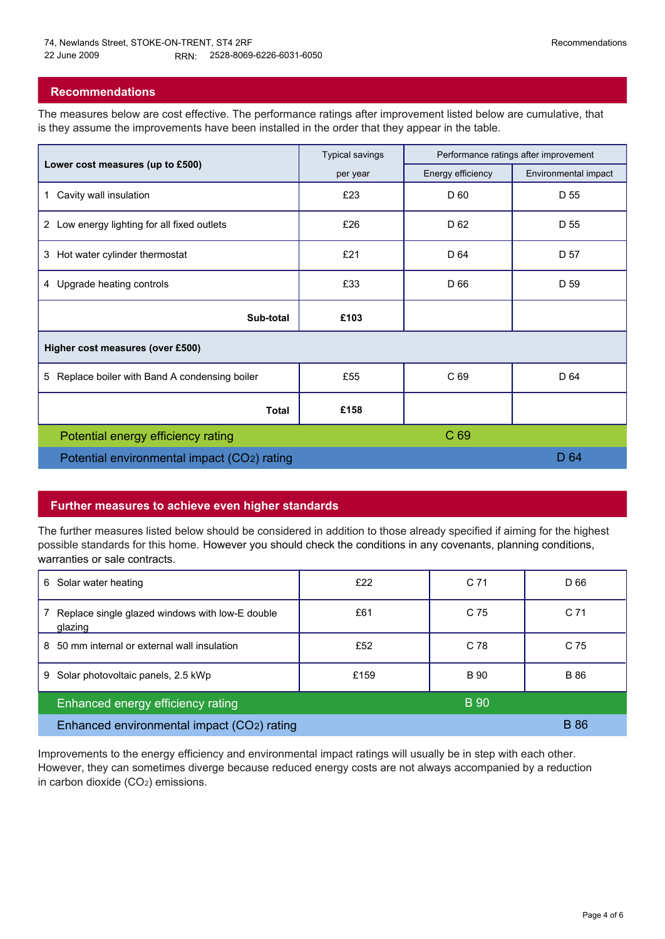# **Recommendations**

The measures below are cost effective. The performance ratings after improvement listed below are cumulative, that is they assume the improvements have been installed in the order that they appear in the table.

|                                                                   | <b>Typical savings</b> | Performance ratings after improvement |                      |  |  |  |
|-------------------------------------------------------------------|------------------------|---------------------------------------|----------------------|--|--|--|
| Lower cost measures (up to £500)                                  | per year               | Energy efficiency                     | Environmental impact |  |  |  |
| Cavity wall insulation<br>1                                       | £23                    | D 60                                  | D 55                 |  |  |  |
| Low energy lighting for all fixed outlets<br>$\mathbf{2}^{\circ}$ | £26                    | D <sub>62</sub>                       | D 55                 |  |  |  |
| Hot water cylinder thermostat<br>3                                | £21                    | D 64                                  | D 57                 |  |  |  |
| 4 Upgrade heating controls                                        | £33                    | D 66                                  | D 59                 |  |  |  |
| Sub-total                                                         | £103                   |                                       |                      |  |  |  |
| Higher cost measures (over £500)                                  |                        |                                       |                      |  |  |  |
| Replace boiler with Band A condensing boiler<br>5                 | £55                    | C 69                                  | D 64                 |  |  |  |
| <b>Total</b>                                                      | £158                   |                                       |                      |  |  |  |
| Potential energy efficiency rating                                |                        | C 69                                  |                      |  |  |  |
| Potential environmental impact (CO2) rating                       |                        |                                       | D 64                 |  |  |  |

# **Further measures to achieve even higher standards**

The further measures listed below should be considered in addition to those already specified if aiming for the highest possible standards for this home. However you should check the conditions in any covenants, planning conditions, warranties or sale contracts.

| 6 Solar water heating                                      | £22  | C <sub>71</sub> | D 66            |
|------------------------------------------------------------|------|-----------------|-----------------|
| Replace single glazed windows with low-E double<br>glazing | £61  | C 75            | C <sub>71</sub> |
| 50 mm internal or external wall insulation<br>8.           | £52  | C 78            | C 75            |
| Solar photovoltaic panels, 2.5 kWp<br>9                    | £159 | <b>B</b> 90     | <b>B</b> 86     |
| Enhanced energy efficiency rating                          |      | <b>B</b> 90     |                 |
| Enhanced environmental impact (CO2) rating                 |      |                 | <b>B</b> 86     |

Improvements to the energy efficiency and environmental impact ratings will usually be in step with each other. However, they can sometimes diverge because reduced energy costs are not always accompanied by a reduction in carbon dioxide (CO2) emissions.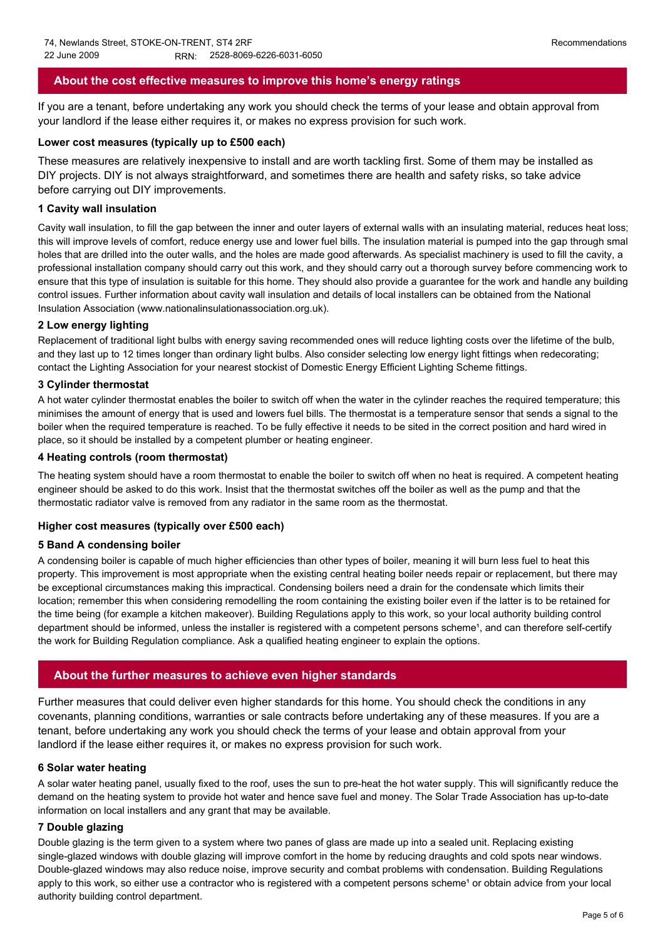# **About the cost effective measures to improve this home's energy ratings**

If you are a tenant, before undertaking any work you should check the terms of your lease and obtain approval from your landlord if the lease either requires it, or makes no express provision for such work.

#### **Lower cost measures (typically up to £500 each)**

These measures are relatively inexpensive to install and are worth tackling first. Some of them may be installed as DIY projects. DIY is not always straightforward, and sometimes there are health and safety risks, so take advice before carrying out DIY improvements.

#### **1 Cavity wall insulation**

Cavity wall insulation, to fill the gap between the inner and outer layers of external walls with an insulating material, reduces heat loss; this will improve levels of comfort, reduce energy use and lower fuel bills. The insulation material is pumped into the gap through small holes that are drilled into the outer walls, and the holes are made good afterwards. As specialist machinery is used to fill the cavity, a professional installation company should carry out this work, and they should carry out a thorough survey before commencing work to ensure that this type of insulation is suitable for this home. They should also provide a guarantee for the work and handle any building control issues. Further information about cavity wall insulation and details of local installers can be obtained from the National Insulation Association (www.nationalinsulationassociation.org.uk).

#### **2 Low energy lighting**

Replacement of traditional light bulbs with energy saving recommended ones will reduce lighting costs over the lifetime of the bulb, and they last up to 12 times longer than ordinary light bulbs. Also consider selecting low energy light fittings when redecorating; contact the Lighting Association for your nearest stockist of Domestic Energy Efficient Lighting Scheme fittings.

#### **3 Cylinder thermostat**

A hot water cylinder thermostat enables the boiler to switch off when the water in the cylinder reaches the required temperature; this minimises the amount of energy that is used and lowers fuel bills. The thermostat is a temperature sensor that sends a signal to the boiler when the required temperature is reached. To be fully effective it needs to be sited in the correct position and hard wired in place, so it should be installed by a competent plumber or heating engineer.

#### **4 Heating controls (room thermostat)**

The heating system should have a room thermostat to enable the boiler to switch off when no heat is required. A competent heating engineer should be asked to do this work. Insist that the thermostat switches off the boiler as well as the pump and that the thermostatic radiator valve is removed from any radiator in the same room as the thermostat.

#### **Higher cost measures (typically over £500 each)**

#### **5 Band A condensing boiler**

A condensing boiler is capable of much higher efficiencies than other types of boiler, meaning it will burn less fuel to heat this property. This improvement is most appropriate when the existing central heating boiler needs repair or replacement, but there may be exceptional circumstances making this impractical. Condensing boilers need a drain for the condensate which limits their location; remember this when considering remodelling the room containing the existing boiler even if the latter is to be retained for the time being (for example a kitchen makeover). Building Regulations apply to this work, so your local authority building control department should be informed, unless the installer is registered with a competent persons scheme<sup>1</sup>, and can therefore self-certify the work for Building Regulation compliance. Ask a qualified heating engineer to explain the options.

# **About the further measures to achieve even higher standards**

Further measures that could deliver even higher standards for this home. You should check the conditions in any covenants, planning conditions, warranties or sale contracts before undertaking any of these measures. If you are a tenant, before undertaking any work you should check the terms of your lease and obtain approval from your landlord if the lease either requires it, or makes no express provision for such work.

#### **6 Solar water heating**

A solar water heating panel, usually fixed to the roof, uses the sun to pre-heat the hot water supply. This will significantly reduce the demand on the heating system to provide hot water and hence save fuel and money. The Solar Trade Association has up-to-date information on local installers and any grant that may be available.

### **7 Double glazing**

Double glazing is the term given to a system where two panes of glass are made up into a sealed unit. Replacing existing single-glazed windows with double glazing will improve comfort in the home by reducing draughts and cold spots near windows. Double-glazed windows may also reduce noise, improve security and combat problems with condensation. Building Regulations apply to this work, so either use a contractor who is registered with a competent persons scheme<sup>1</sup> or obtain advice from your local authority building control department.